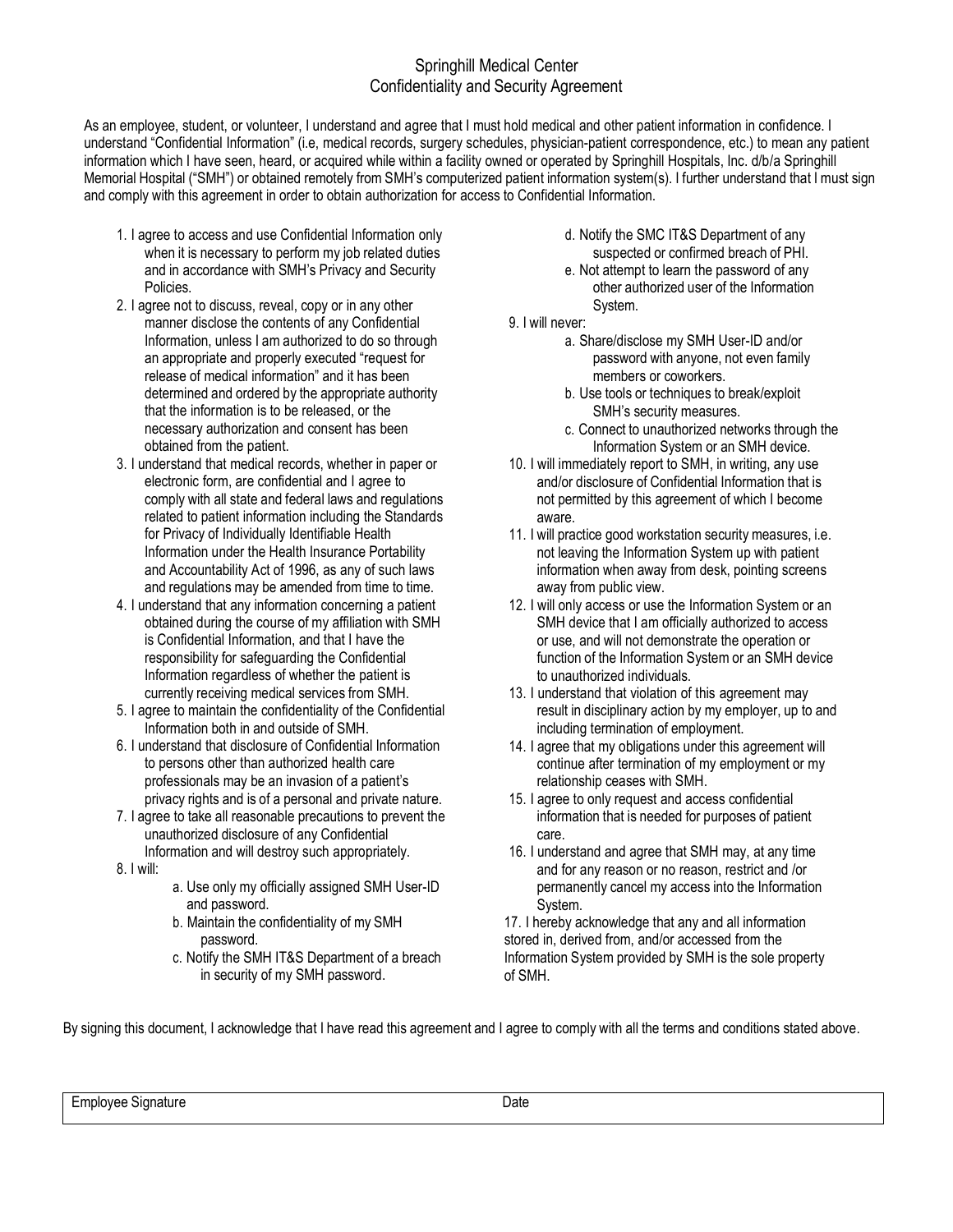## Springhill Medical Center Confidentiality and Security Agreement

As an employee, student, or volunteer, I understand and agree that I must hold medical and other patient information in confidence. I understand "Confidential Information" (i.e, medical records, surgery schedules, physician-patient correspondence, etc.) to mean any patient information which I have seen, heard, or acquired while within a facility owned or operated by Springhill Hospitals, Inc. d/b/a Springhill Memorial Hospital ("SMH") or obtained remotely from SMH's computerized patient information system(s). I further understand that I must sign and comply with this agreement in order to obtain authorization for access to Confidential Information.

- 1. I agree to access and use Confidential Information only when it is necessary to perform my job related duties and in accordance with SMH's Privacy and Security Policies.
- 2. I agree not to discuss, reveal, copy or in any other manner disclose the contents of any Confidential Information, unless I am authorized to do so through an appropriate and properly executed "request for release of medical information" and it has been determined and ordered by the appropriate authority that the information is to be released, or the necessary authorization and consent has been obtained from the patient.
- 3. I understand that medical records, whether in paper or electronic form, are confidential and I agree to comply with all state and federal laws and regulations related to patient information including the Standards for Privacy of Individually Identifiable Health Information under the Health Insurance Portability and Accountability Act of 1996, as any of such laws and regulations may be amended from time to time.
- 4. I understand that any information concerning a patient obtained during the course of my affiliation with SMH is Confidential Information, and that I have the responsibility for safeguarding the Confidential Information regardless of whether the patient is currently receiving medical services from SMH.
- 5. I agree to maintain the confidentiality of the Confidential Information both in and outside of SMH.
- 6. I understand that disclosure of Confidential Information to persons other than authorized health care professionals may be an invasion of a patient's privacy rights and is of a personal and private nature.
- 7. I agree to take all reasonable precautions to prevent the unauthorized disclosure of any Confidential Information and will destroy such appropriately.
- 8. I will:
- a. Use only my officially assigned SMH User-ID and password.
- b. Maintain the confidentiality of my SMH password.
- c. Notify the SMH IT&S Department of a breach in security of my SMH password.
- d. Notify the SMC IT&S Department of any suspected or confirmed breach of PHI.
- e. Not attempt to learn the password of any other authorized user of the Information System.
- 9. I will never:
	- a. Share/disclose my SMH User-ID and/or password with anyone, not even family members or coworkers.
	- b. Use tools or techniques to break/exploit SMH's security measures.
	- c. Connect to unauthorized networks through the Information System or an SMH device.
- 10. I will immediately report to SMH, in writing, any use and/or disclosure of Confidential Information that is not permitted by this agreement of which I become aware.
- 11. I will practice good workstation security measures, i.e. not leaving the Information System up with patient information when away from desk, pointing screens away from public view.
- 12. I will only access or use the Information System or an SMH device that I am officially authorized to access or use, and will not demonstrate the operation or function of the Information System or an SMH device to unauthorized individuals.
- 13. I understand that violation of this agreement may result in disciplinary action by my employer, up to and including termination of employment.
- 14. I agree that my obligations under this agreement will continue after termination of my employment or my relationship ceases with SMH.
- 15. I agree to only request and access confidential information that is needed for purposes of patient care.
- 16. I understand and agree that SMH may, at any time and for any reason or no reason, restrict and /or permanently cancel my access into the Information System.

17. I hereby acknowledge that any and all information stored in, derived from, and/or accessed from the Information System provided by SMH is the sole property of SMH.

By signing this document, I acknowledge that I have read this agreement and I agree to comply with all the terms and conditions stated above.

Employee Signature Date